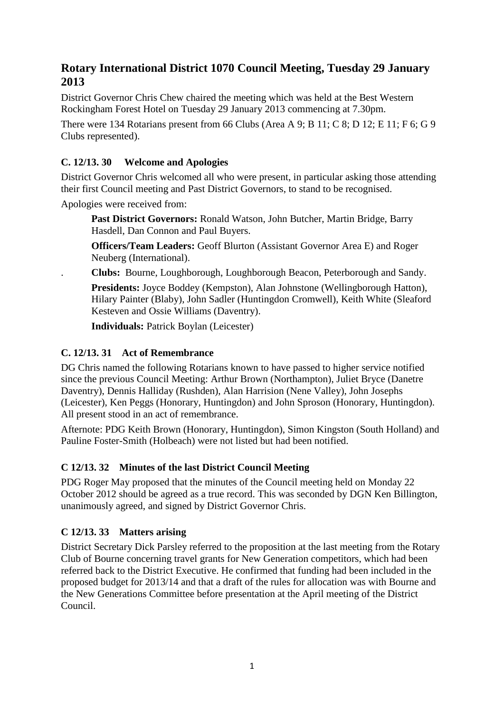# **Rotary International District 1070 Council Meeting, Tuesday 29 January 2013**

District Governor Chris Chew chaired the meeting which was held at the Best Western Rockingham Forest Hotel on Tuesday 29 January 2013 commencing at 7.30pm.

There were 134 Rotarians present from 66 Clubs (Area A 9; B 11; C 8; D 12; E 11; F 6; G 9 Clubs represented).

# **C. 12/13. 30 Welcome and Apologies**

District Governor Chris welcomed all who were present, in particular asking those attending their first Council meeting and Past District Governors, to stand to be recognised.

Apologies were received from:

**Past District Governors:** Ronald Watson, John Butcher, Martin Bridge, Barry Hasdell, Dan Connon and Paul Buyers.

**Officers/Team Leaders:** Geoff Blurton (Assistant Governor Area E) and Roger Neuberg (International).

. **Clubs:** Bourne, Loughborough, Loughborough Beacon, Peterborough and Sandy.

**Presidents:** Joyce Boddey (Kempston), Alan Johnstone (Wellingborough Hatton), Hilary Painter (Blaby), John Sadler (Huntingdon Cromwell), Keith White (Sleaford Kesteven and Ossie Williams (Daventry).

**Individuals:** Patrick Boylan (Leicester)

# **C. 12/13. 31 Act of Remembrance**

DG Chris named the following Rotarians known to have passed to higher service notified since the previous Council Meeting: Arthur Brown (Northampton), Juliet Bryce (Danetre Daventry), Dennis Halliday (Rushden), Alan Harrision (Nene Valley), John Josephs (Leicester), Ken Peggs (Honorary, Huntingdon) and John Sproson (Honorary, Huntingdon). All present stood in an act of remembrance.

Afternote: PDG Keith Brown (Honorary, Huntingdon), Simon Kingston (South Holland) and Pauline Foster-Smith (Holbeach) were not listed but had been notified.

### **C 12/13. 32 Minutes of the last District Council Meeting**

PDG Roger May proposed that the minutes of the Council meeting held on Monday 22 October 2012 should be agreed as a true record. This was seconded by DGN Ken Billington, unanimously agreed, and signed by District Governor Chris.

### **C 12/13. 33 Matters arising**

District Secretary Dick Parsley referred to the proposition at the last meeting from the Rotary Club of Bourne concerning travel grants for New Generation competitors, which had been referred back to the District Executive. He confirmed that funding had been included in the proposed budget for 2013/14 and that a draft of the rules for allocation was with Bourne and the New Generations Committee before presentation at the April meeting of the District Council.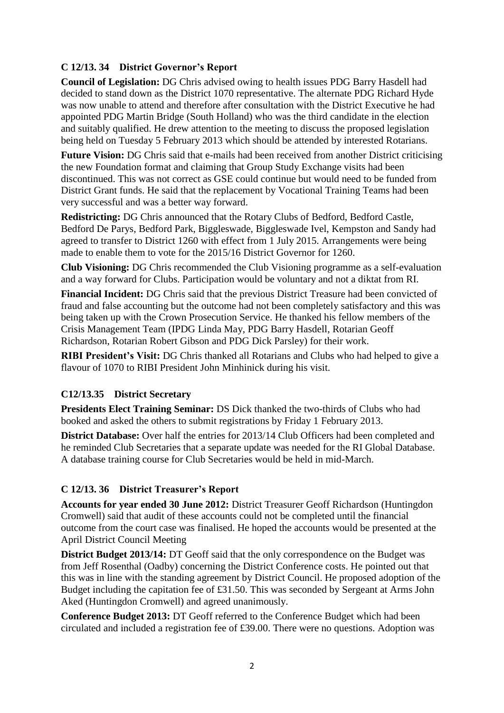### **C 12/13. 34 District Governor's Report**

**Council of Legislation:** DG Chris advised owing to health issues PDG Barry Hasdell had decided to stand down as the District 1070 representative. The alternate PDG Richard Hyde was now unable to attend and therefore after consultation with the District Executive he had appointed PDG Martin Bridge (South Holland) who was the third candidate in the election and suitably qualified. He drew attention to the meeting to discuss the proposed legislation being held on Tuesday 5 February 2013 which should be attended by interested Rotarians.

**Future Vision:** DG Chris said that e-mails had been received from another District criticising the new Foundation format and claiming that Group Study Exchange visits had been discontinued. This was not correct as GSE could continue but would need to be funded from District Grant funds. He said that the replacement by Vocational Training Teams had been very successful and was a better way forward.

**Redistricting:** DG Chris announced that the Rotary Clubs of Bedford, Bedford Castle, Bedford De Parys, Bedford Park, Biggleswade, Biggleswade Ivel, Kempston and Sandy had agreed to transfer to District 1260 with effect from 1 July 2015. Arrangements were being made to enable them to vote for the 2015/16 District Governor for 1260.

**Club Visioning:** DG Chris recommended the Club Visioning programme as a self-evaluation and a way forward for Clubs. Participation would be voluntary and not a diktat from RI.

**Financial Incident:** DG Chris said that the previous District Treasure had been convicted of fraud and false accounting but the outcome had not been completely satisfactory and this was being taken up with the Crown Prosecution Service. He thanked his fellow members of the Crisis Management Team (IPDG Linda May, PDG Barry Hasdell, Rotarian Geoff Richardson, Rotarian Robert Gibson and PDG Dick Parsley) for their work.

**RIBI President's Visit:** DG Chris thanked all Rotarians and Clubs who had helped to give a flavour of 1070 to RIBI President John Minhinick during his visit.

#### **C12/13.35 District Secretary**

**Presidents Elect Training Seminar:** DS Dick thanked the two-thirds of Clubs who had booked and asked the others to submit registrations by Friday 1 February 2013.

**District Database:** Over half the entries for 2013/14 Club Officers had been completed and he reminded Club Secretaries that a separate update was needed for the RI Global Database. A database training course for Club Secretaries would be held in mid-March.

#### **C 12/13. 36 District Treasurer's Report**

**Accounts for year ended 30 June 2012:** District Treasurer Geoff Richardson (Huntingdon Cromwell) said that audit of these accounts could not be completed until the financial outcome from the court case was finalised. He hoped the accounts would be presented at the April District Council Meeting

**District Budget 2013/14:** DT Geoff said that the only correspondence on the Budget was from Jeff Rosenthal (Oadby) concerning the District Conference costs. He pointed out that this was in line with the standing agreement by District Council. He proposed adoption of the Budget including the capitation fee of £31.50. This was seconded by Sergeant at Arms John Aked (Huntingdon Cromwell) and agreed unanimously.

**Conference Budget 2013:** DT Geoff referred to the Conference Budget which had been circulated and included a registration fee of £39.00. There were no questions. Adoption was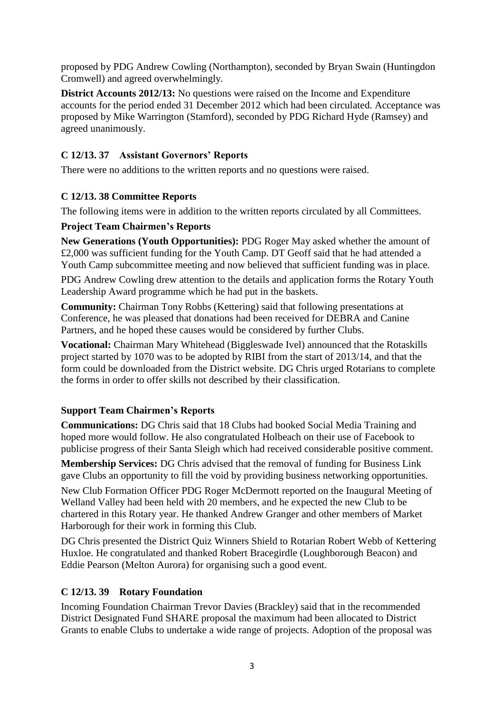proposed by PDG Andrew Cowling (Northampton), seconded by Bryan Swain (Huntingdon Cromwell) and agreed overwhelmingly.

**District Accounts 2012/13:** No questions were raised on the Income and Expenditure accounts for the period ended 31 December 2012 which had been circulated. Acceptance was proposed by Mike Warrington (Stamford), seconded by PDG Richard Hyde (Ramsey) and agreed unanimously.

### **C 12/13. 37 Assistant Governors' Reports**

There were no additions to the written reports and no questions were raised.

#### **C 12/13. 38 Committee Reports**

The following items were in addition to the written reports circulated by all Committees.

#### **Project Team Chairmen's Reports**

**New Generations (Youth Opportunities):** PDG Roger May asked whether the amount of £2,000 was sufficient funding for the Youth Camp. DT Geoff said that he had attended a Youth Camp subcommittee meeting and now believed that sufficient funding was in place.

PDG Andrew Cowling drew attention to the details and application forms the Rotary Youth Leadership Award programme which he had put in the baskets.

**Community:** Chairman Tony Robbs (Kettering) said that following presentations at Conference, he was pleased that donations had been received for DEBRA and Canine Partners, and he hoped these causes would be considered by further Clubs.

**Vocational:** Chairman Mary Whitehead (Biggleswade Ivel) announced that the Rotaskills project started by 1070 was to be adopted by RIBI from the start of 2013/14, and that the form could be downloaded from the District website. DG Chris urged Rotarians to complete the forms in order to offer skills not described by their classification.

### **Support Team Chairmen's Reports**

**Communications:** DG Chris said that 18 Clubs had booked Social Media Training and hoped more would follow. He also congratulated Holbeach on their use of Facebook to publicise progress of their Santa Sleigh which had received considerable positive comment.

**Membership Services:** DG Chris advised that the removal of funding for Business Link gave Clubs an opportunity to fill the void by providing business networking opportunities.

New Club Formation Officer PDG Roger McDermott reported on the Inaugural Meeting of Welland Valley had been held with 20 members, and he expected the new Club to be chartered in this Rotary year. He thanked Andrew Granger and other members of Market Harborough for their work in forming this Club.

DG Chris presented the District Quiz Winners Shield to Rotarian Robert Webb of Kettering Huxloe. He congratulated and thanked Robert Bracegirdle (Loughborough Beacon) and Eddie Pearson (Melton Aurora) for organising such a good event.

### **C 12/13. 39 Rotary Foundation**

Incoming Foundation Chairman Trevor Davies (Brackley) said that in the recommended District Designated Fund SHARE proposal the maximum had been allocated to District Grants to enable Clubs to undertake a wide range of projects. Adoption of the proposal was